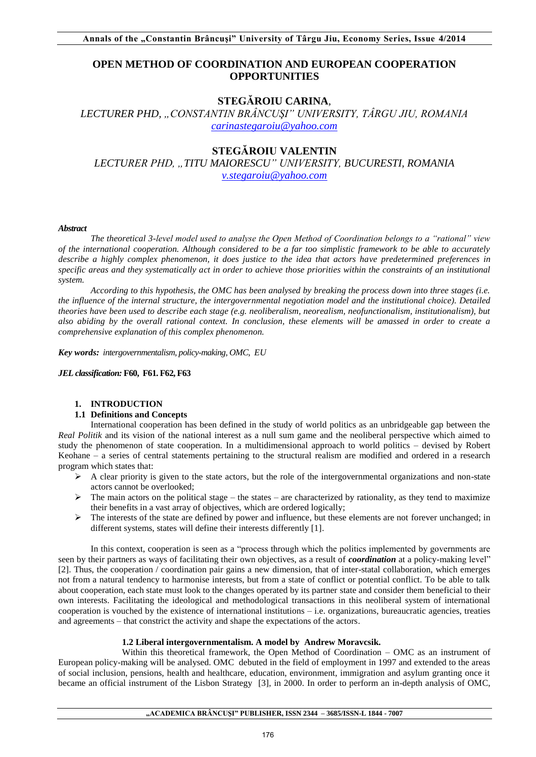# **OPEN METHOD OF COORDINATION AND EUROPEAN COOPERATION OPPORTUNITIES**

## **STEGĂROIU CARINA***,*

*LECTURER PHD, "CONSTANTIN BRÂNCUŞI" UNIVERSITY, TÂRGU JIU, ROMANIA [carinastegaroiu@yahoo.com](mailto:carinastegaroiu@yahoo.com)*

# **STEGĂROIU VALENTIN**

*LECTURER PHD, "TITU MAIORESCU" UNIVERSITY, BUCURESTI, ROMANIA [v.stegaroiu@yahoo.com](mailto:v.stegaroiu@yahoo.com)* 

#### *Abstract*

*The theoretical 3-level model used to analyse the Open Method of Coordination belongs to a "rational" view of the international cooperation. Although considered to be a far too simplistic framework to be able to accurately describe a highly complex phenomenon, it does justice to the idea that actors have predetermined preferences in specific areas and they systematically act in order to achieve those priorities within the constraints of an institutional system.* 

*According to this hypothesis, the OMC has been analysed by breaking the process down into three stages (i.e. the influence of the internal structure, the intergovernmental negotiation model and the institutional choice). Detailed theories have been used to describe each stage (e.g. neoliberalism, neorealism, neofunctionalism, institutionalism), but also abiding by the overall rational context. In conclusion, these elements will be amassed in order to create a comprehensive explanation of this complex phenomenon.* 

*Key words: intergovernmentalism, policy-making, OMC, EU*

#### *JEL classification:* **F60, F61. F62, F63**

## **1. INTRODUCTION**

## **1.1 Definitions and Concepts**

International cooperation has been defined in the study of world politics as an unbridgeable gap between the *Real Politik* and its vision of the national interest as a null sum game and the neoliberal perspective which aimed to study the phenomenon of state cooperation. In a multidimensional approach to world politics – devised by Robert Keohane – a series of central statements pertaining to the structural realism are modified and ordered in a research program which states that:

- $\triangleright$  A clear priority is given to the state actors, but the role of the intergovernmental organizations and non-state actors cannot be overlooked;
- $\triangleright$  The main actors on the political stage the states are characterized by rationality, as they tend to maximize their benefits in a vast array of objectives, which are ordered logically;
- $\triangleright$  The interests of the state are defined by power and influence, but these elements are not forever unchanged; in different systems, states will define their interests differently [1].

In this context, cooperation is seen as a "process through which the politics implemented by governments are seen by their partners as ways of facilitating their own objectives, as a result of *coordination* at a policy-making level" [2]. Thus, the cooperation / coordination pair gains a new dimension, that of inter-statal collaboration, which emerges not from a natural tendency to harmonise interests, but from a state of conflict or potential conflict. To be able to talk about cooperation, each state must look to the changes operated by its partner state and consider them beneficial to their own interests. Facilitating the ideological and methodological transactions in this neoliberal system of international cooperation is vouched by the existence of international institutions  $-$  i.e. organizations, bureaucratic agencies, treaties and agreements – that constrict the activity and shape the expectations of the actors.

## **1.2 Liberal intergovernmentalism. A model by Andrew Moravcsik.**

 Within this theoretical framework, the Open Method of Coordination – OMC as an instrument of European policy-making will be analysed. OMC debuted in the field of employment in 1997 and extended to the areas of social inclusion, pensions, health and healthcare, education, environment, immigration and asylum granting once it became an official instrument of the Lisbon Strategy [3], in 2000. In order to perform an in-depth analysis of OMC,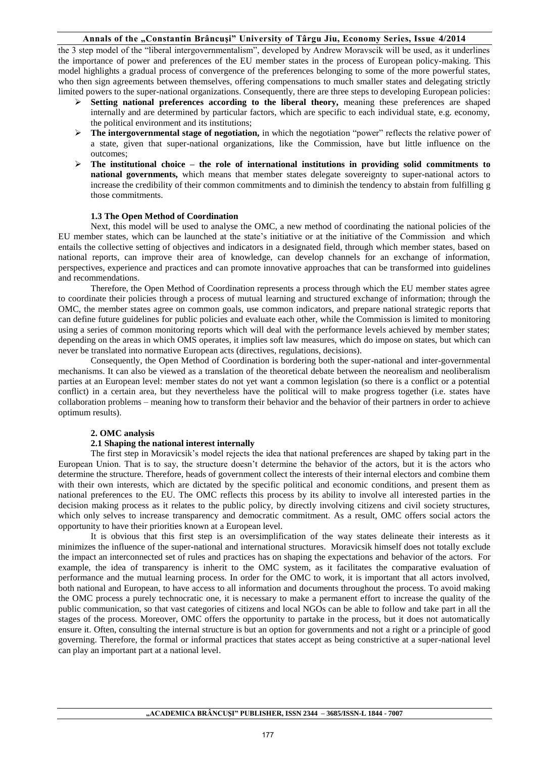## **Annals of the "Constantin Brâncuşi" University of Târgu Jiu, Economy Series, Issue 4/2014**

the 3 step model of the "liberal intergovernmentalism", developed by Andrew Moravscik will be used, as it underlines the importance of power and preferences of the EU member states in the process of European policy-making. This model highlights a gradual process of convergence of the preferences belonging to some of the more powerful states, who then sign agreements between themselves, offering compensations to much smaller states and delegating strictly limited powers to the super-national organizations. Consequently, there are three steps to developing European policies:

- **Setting national preferences according to the liberal theory,** meaning these preferences are shaped internally and are determined by particular factors, which are specific to each individual state, e.g. economy, the political environment and its institutions;
- **►** The intergovernmental stage of negotiation, in which the negotiation "power" reflects the relative power of a state, given that super-national organizations, like the Commission, have but little influence on the outcomes;
- $\geq$  The institutional choice the role of international institutions in providing solid commitments to **national governments,** which means that member states delegate sovereignty to super-national actors to increase the credibility of their common commitments and to diminish the tendency to abstain from fulfilling g those commitments.

#### **1.3 The Open Method of Coordination**

Next, this model will be used to analyse the OMC, a new method of coordinating the national policies of the EU member states, which can be launched at the state's initiative or at the initiative of the Commission and which entails the collective setting of objectives and indicators in a designated field, through which member states, based on national reports, can improve their area of knowledge, can develop channels for an exchange of information, perspectives, experience and practices and can promote innovative approaches that can be transformed into guidelines and recommendations.

Therefore, the Open Method of Coordination represents a process through which the EU member states agree to coordinate their policies through a process of mutual learning and structured exchange of information; through the OMC, the member states agree on common goals, use common indicators, and prepare national strategic reports that can define future guidelines for public policies and evaluate each other, while the Commission is limited to monitoring using a series of common monitoring reports which will deal with the performance levels achieved by member states; depending on the areas in which OMS operates, it implies soft law measures, which do impose on states, but which can never be translated into normative European acts (directives, regulations, decisions).

Consequently, the Open Method of Coordination is bordering both the super-national and inter-governmental mechanisms. It can also be viewed as a translation of the theoretical debate between the neorealism and neoliberalism parties at an European level: member states do not yet want a common legislation (so there is a conflict or a potential conflict) in a certain area, but they nevertheless have the political will to make progress together (i.e. states have collaboration problems – meaning how to transform their behavior and the behavior of their partners in order to achieve optimum results).

## **2. OMC analysis**

## **2.1 Shaping the national interest internally**

The first step in Moravicsik's model rejects the idea that national preferences are shaped by taking part in the European Union. That is to say, the structure doesn't determine the behavior of the actors, but it is the actors who determine the structure. Therefore, heads of government collect the interests of their internal electors and combine them with their own interests, which are dictated by the specific political and economic conditions, and present them as national preferences to the EU. The OMC reflects this process by its ability to involve all interested parties in the decision making process as it relates to the public policy, by directly involving citizens and civil society structures, which only selves to increase transparency and democratic commitment. As a result, OMC offers social actors the opportunity to have their priorities known at a European level.

It is obvious that this first step is an oversimplification of the way states delineate their interests as it minimizes the influence of the super-national and international structures. Moravicsik himself does not totally exclude the impact an interconnected set of rules and practices has on shaping the expectations and behavior of the actors. For example, the idea of transparency is inherit to the OMC system, as it facilitates the comparative evaluation of performance and the mutual learning process. In order for the OMC to work, it is important that all actors involved, both national and European, to have access to all information and documents throughout the process. To avoid making the OMC process a purely technocratic one, it is necessary to make a permanent effort to increase the quality of the public communication, so that vast categories of citizens and local NGOs can be able to follow and take part in all the stages of the process. Moreover, OMC offers the opportunity to partake in the process, but it does not automatically ensure it. Often, consulting the internal structure is but an option for governments and not a right or a principle of good governing. Therefore, the formal or informal practices that states accept as being constrictive at a super-national level can play an important part at a national level.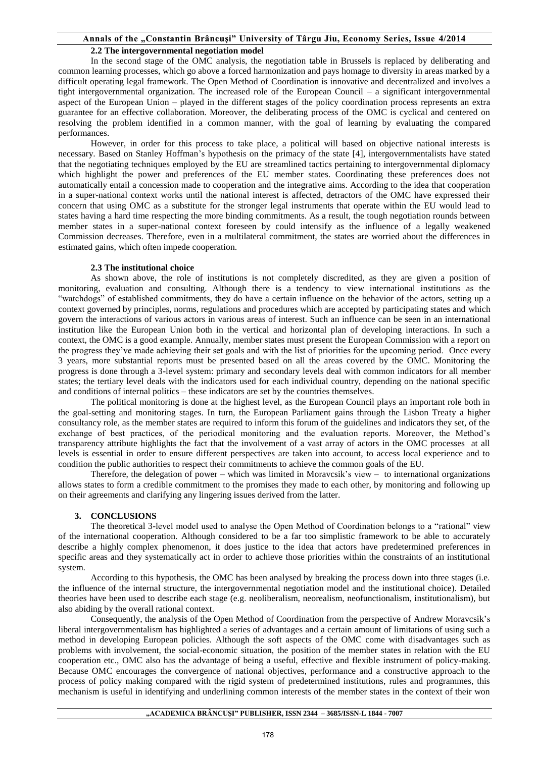#### **Annals of the "Constantin Brâncuşi" University of Târgu Jiu, Economy Series, Issue 4/2014**

#### **2.2 The intergovernmental negotiation model**

In the second stage of the OMC analysis, the negotiation table in Brussels is replaced by deliberating and common learning processes, which go above a forced harmonization and pays homage to diversity in areas marked by a difficult operating legal framework. The Open Method of Coordination is innovative and decentralized and involves a tight intergovernmental organization. The increased role of the European Council – a significant intergovernmental aspect of the European Union – played in the different stages of the policy coordination process represents an extra guarantee for an effective collaboration. Moreover, the deliberating process of the OMC is cyclical and centered on resolving the problem identified in a common manner, with the goal of learning by evaluating the compared performances.

However, in order for this process to take place, a political will based on objective national interests is necessary. Based on Stanley Hoffman's hypothesis on the primacy of the state [4], intergovernmentalists have stated that the negotiating techniques employed by the EU are streamlined tactics pertaining to intergovernmental diplomacy which highlight the power and preferences of the EU member states. Coordinating these preferences does not automatically entail a concession made to cooperation and the integrative aims. According to the idea that cooperation in a super-national context works until the national interest is affected, detractors of the OMC have expressed their concern that using OMC as a substitute for the stronger legal instruments that operate within the EU would lead to states having a hard time respecting the more binding commitments. As a result, the tough negotiation rounds between member states in a super-national context foreseen by could intensify as the influence of a legally weakened Commission decreases. Therefore, even in a multilateral commitment, the states are worried about the differences in estimated gains, which often impede cooperation.

#### **2.3 The institutional choice**

As shown above, the role of institutions is not completely discredited, as they are given a position of monitoring, evaluation and consulting. Although there is a tendency to view international institutions as the "watchdogs" of established commitments, they do have a certain influence on the behavior of the actors, setting up a context governed by principles, norms, regulations and procedures which are accepted by participating states and which govern the interactions of various actors in various areas of interest. Such an influence can be seen in an international institution like the European Union both in the vertical and horizontal plan of developing interactions. In such a context, the OMC is a good example. Annually, member states must present the European Commission with a report on the progress they've made achieving their set goals and with the list of priorities for the upcoming period. Once every 3 years, more substantial reports must be presented based on all the areas covered by the OMC. Monitoring the progress is done through a 3-level system: primary and secondary levels deal with common indicators for all member states; the tertiary level deals with the indicators used for each individual country, depending on the national specific and conditions of internal politics – these indicators are set by the countries themselves.

The political monitoring is done at the highest level, as the European Council plays an important role both in the goal-setting and monitoring stages. In turn, the European Parliament gains through the Lisbon Treaty a higher consultancy role, as the member states are required to inform this forum of the guidelines and indicators they set, of the exchange of best practices, of the periodical monitoring and the evaluation reports. Moreover, the Method's transparency attribute highlights the fact that the involvement of a vast array of actors in the OMC processes at all levels is essential in order to ensure different perspectives are taken into account, to access local experience and to condition the public authorities to respect their commitments to achieve the common goals of the EU.

Therefore, the delegation of power – which was limited in Moravcsik's view – to international organizations allows states to form a credible commitment to the promises they made to each other, by monitoring and following up on their agreements and clarifying any lingering issues derived from the latter.

#### **3. CONCLUSIONS**

The theoretical 3-level model used to analyse the Open Method of Coordination belongs to a "rational" view of the international cooperation. Although considered to be a far too simplistic framework to be able to accurately describe a highly complex phenomenon, it does justice to the idea that actors have predetermined preferences in specific areas and they systematically act in order to achieve those priorities within the constraints of an institutional system.

According to this hypothesis, the OMC has been analysed by breaking the process down into three stages (i.e. the influence of the internal structure, the intergovernmental negotiation model and the institutional choice). Detailed theories have been used to describe each stage (e.g. neoliberalism, neorealism, neofunctionalism, institutionalism), but also abiding by the overall rational context.

Consequently, the analysis of the Open Method of Coordination from the perspective of Andrew Moravcsik's liberal intergovernmentalism has highlighted a series of advantages and a certain amount of limitations of using such a method in developing European policies. Although the soft aspects of the OMC come with disadvantages such as problems with involvement, the social-economic situation, the position of the member states in relation with the EU cooperation etc., OMC also has the advantage of being a useful, effective and flexible instrument of policy-making. Because OMC encourages the convergence of national objectives, performance and a constructive approach to the process of policy making compared with the rigid system of predetermined institutions, rules and programmes, this mechanism is useful in identifying and underlining common interests of the member states in the context of their won

#### **"ACADEMICA BRÂNCUŞI" PUBLISHER, ISSN 2344 – 3685/ISSN-L 1844 - 7007**